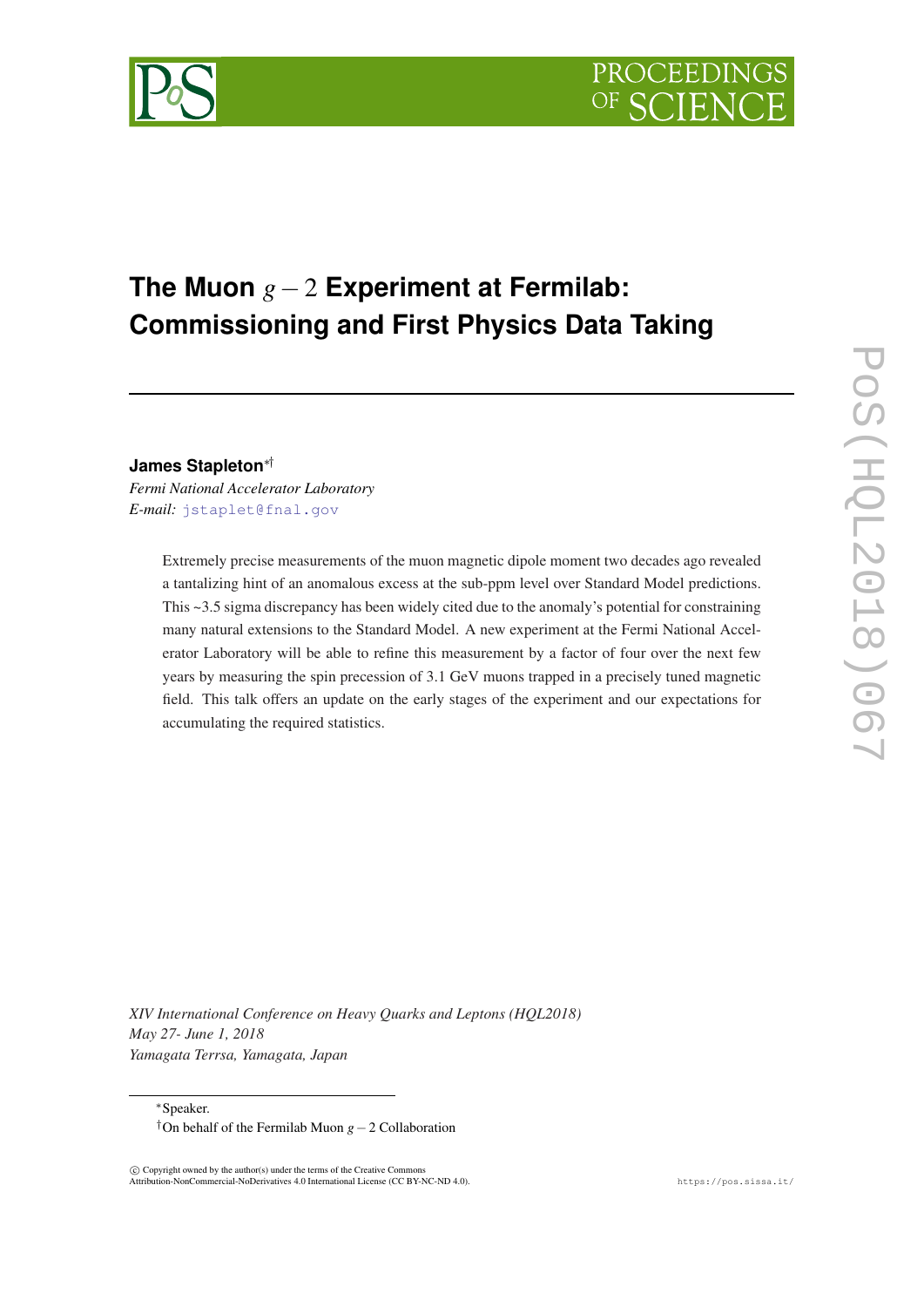

# **The Muon** *g*−2 **Experiment at Fermilab: Commissioning and First Physics Data Taking**

# **James Stapleton**∗†

*Fermi National Accelerator Laboratory E-mail:* [jstaplet@fnal.gov](mailto:jstaplet@fnal.gov)

> Extremely precise measurements of the muon magnetic dipole moment two decades ago revealed a tantalizing hint of an anomalous excess at the sub-ppm level over Standard Model predictions. This ~3.5 sigma discrepancy has been widely cited due to the anomaly's potential for constraining many natural extensions to the Standard Model. A new experiment at the Fermi National Accelerator Laboratory will be able to refine this measurement by a factor of four over the next few years by measuring the spin precession of 3.1 GeV muons trapped in a precisely tuned magnetic field. This talk offers an update on the early stages of the experiment and our expectations for accumulating the required statistics.

*XIV International Conference on Heavy Quarks and Leptons (HQL2018) May 27- June 1, 2018 Yamagata Terrsa, Yamagata, Japan*

<sup>∗</sup>Speaker.

†On behalf of the Fermilab Muon *g*−2 Collaboration

 $\overline{c}$  Copyright owned by the author(s) under the terms of the Creative Common Attribution-NonCommercial-NoDerivatives 4.0 International License (CC BY-NC-ND 4.0). https://pos.sissa.it/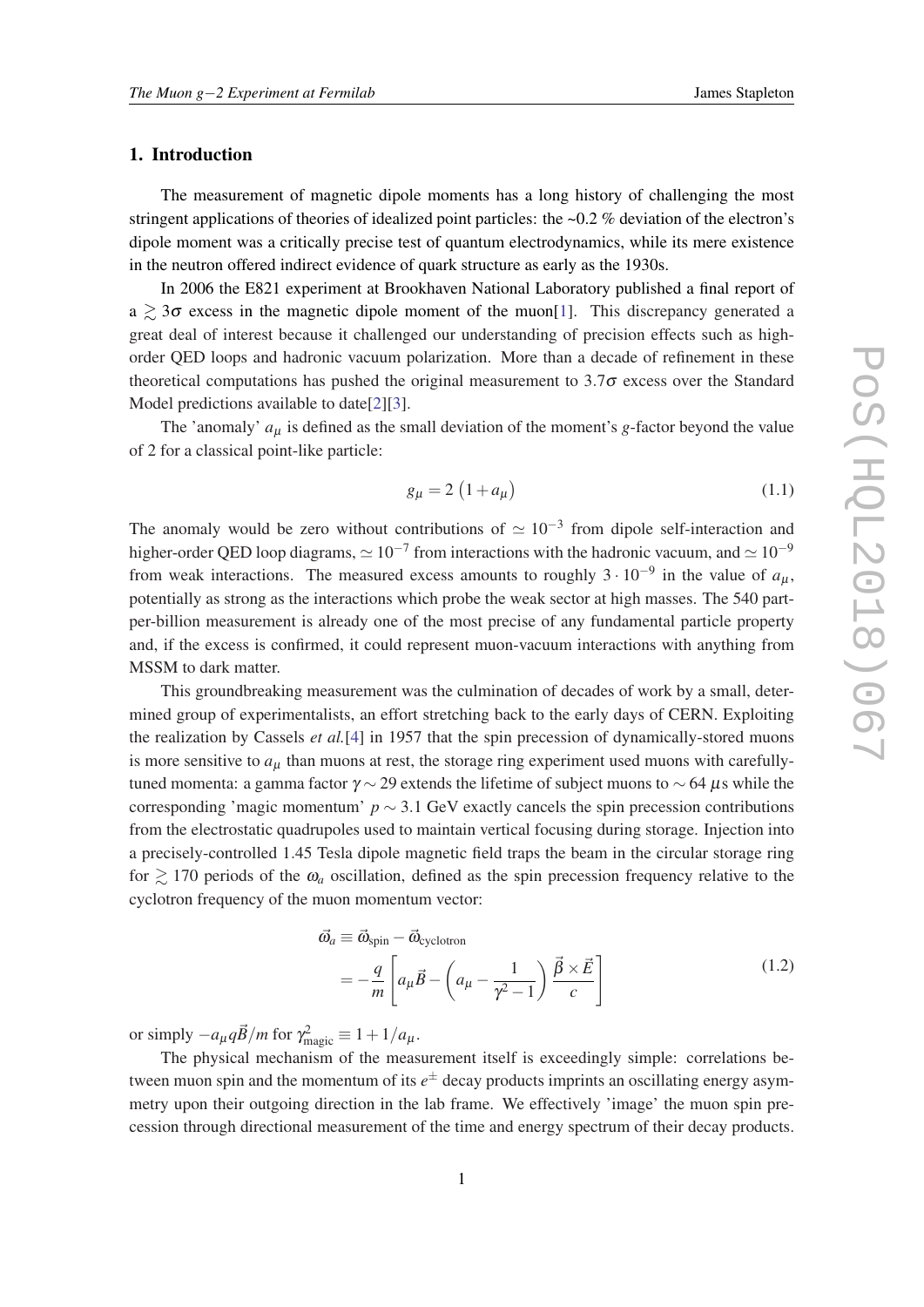# 1. Introduction

The measurement of magnetic dipole moments has a long history of challenging the most stringent applications of theories of idealized point particles: the ~0.2 % deviation of the electron's dipole moment was a critically precise test of quantum electrodynamics, while its mere existence in the neutron offered indirect evidence of quark structure as early as the 1930s.

In 2006 the E821 experiment at Brookhaven National Laboratory published a final report of  $a \geq 3\sigma$  excess in the magnetic dipole moment of the muon[\[1\]](#page-6-0). This discrepancy generated a great deal of interest because it challenged our understanding of precision effects such as highorder QED loops and hadronic vacuum polarization. More than a decade of refinement in these theoretical computations has pushed the original measurement to  $3.7\sigma$  excess over the Standard Model predictions available to date[\[2\]\[3\]](#page-6-0).

The 'anomaly'  $a_{\mu}$  is defined as the small deviation of the moment's *g*-factor beyond the value of 2 for a classical point-like particle:

$$
g_{\mu} = 2\left(1 + a_{\mu}\right) \tag{1.1}
$$

The anomaly would be zero without contributions of  $\simeq 10^{-3}$  from dipole self-interaction and higher-order QED loop diagrams,  $\simeq 10^{-7}$  from interactions with the hadronic vacuum, and  $\simeq 10^{-9}$ from weak interactions. The measured excess amounts to roughly  $3 \cdot 10^{-9}$  in the value of  $a_{\mu}$ , potentially as strong as the interactions which probe the weak sector at high masses. The 540 partper-billion measurement is already one of the most precise of any fundamental particle property and, if the excess is confirmed, it could represent muon-vacuum interactions with anything from MSSM to dark matter.

This groundbreaking measurement was the culmination of decades of work by a small, determined group of experimentalists, an effort stretching back to the early days of CERN. Exploiting the realization by Cassels *et al.*[[4](#page-6-0)] in 1957 that the spin precession of dynamically-stored muons is more sensitive to  $a<sub>u</sub>$  than muons at rest, the storage ring experiment used muons with carefullytuned momenta: a gamma factor  $\gamma \sim 29$  extends the lifetime of subject muons to  $\sim 64 \mu s$  while the corresponding 'magic momentum' *p* ∼ 3.1 GeV exactly cancels the spin precession contributions from the electrostatic quadrupoles used to maintain vertical focusing during storage. Injection into a precisely-controlled 1.45 Tesla dipole magnetic field traps the beam in the circular storage ring for  $\geq 170$  periods of the  $\omega_a$  oscillation, defined as the spin precession frequency relative to the cyclotron frequency of the muon momentum vector:

$$
\vec{\omega}_a \equiv \vec{\omega}_{\text{spin}} - \vec{\omega}_{\text{cyclotron}} \n= -\frac{q}{m} \left[ a_\mu \vec{B} - \left( a_\mu - \frac{1}{\gamma^2 - 1} \right) \frac{\vec{\beta} \times \vec{E}}{c} \right]
$$
\n(1.2)

or simply  $-a_{\mu}q\vec{B}/m$  for  $\gamma_{\text{magic}}^2 \equiv 1 + 1/a_{\mu}$ .

The physical mechanism of the measurement itself is exceedingly simple: correlations between muon spin and the momentum of its *e* <sup>±</sup> decay products imprints an oscillating energy asymmetry upon their outgoing direction in the lab frame. We effectively 'image' the muon spin precession through directional measurement of the time and energy spectrum of their decay products.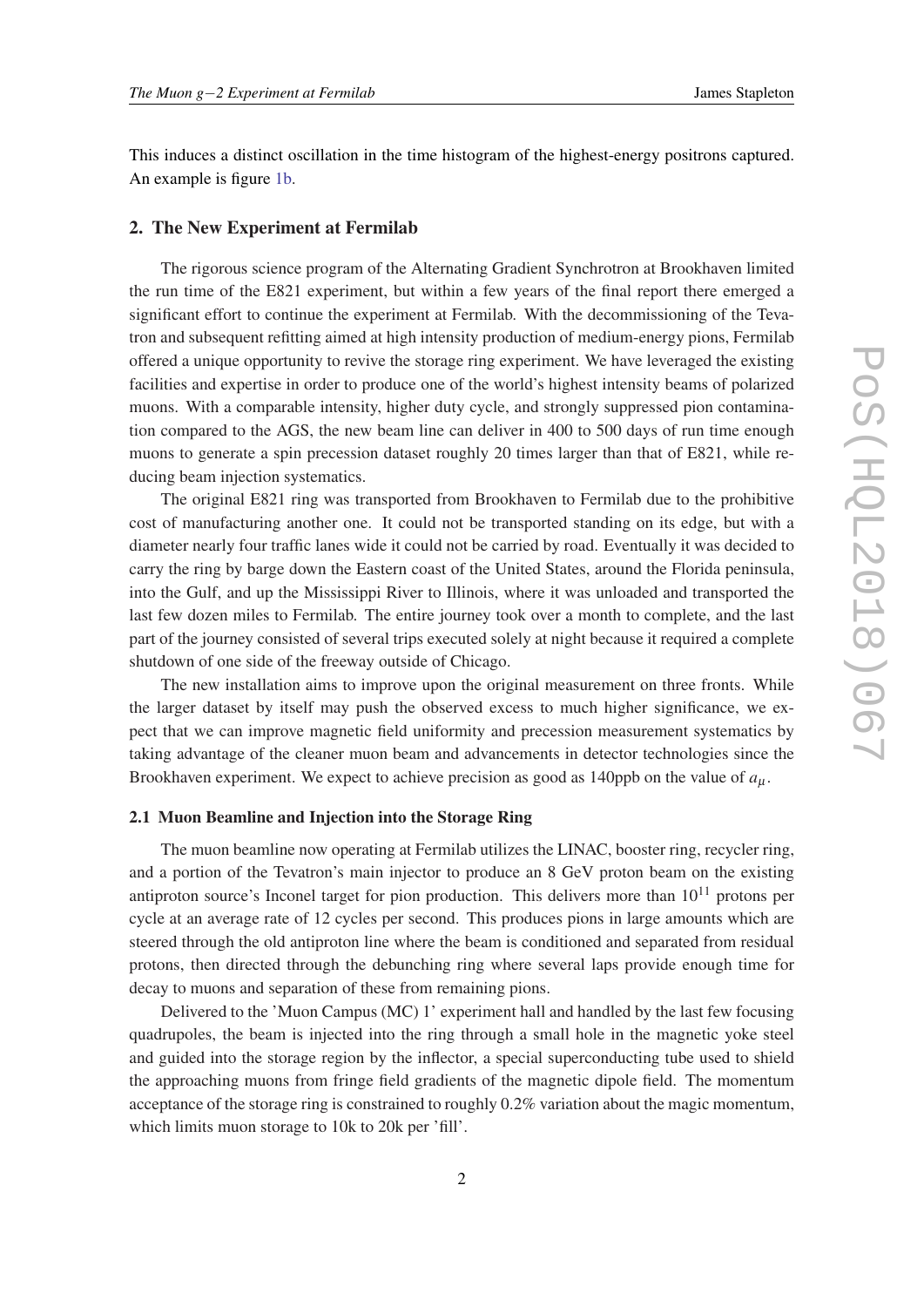This induces a distinct oscillation in the time histogram of the highest-energy positrons captured. An example is figure [1b](#page-4-0).

# 2. The New Experiment at Fermilab

The rigorous science program of the Alternating Gradient Synchrotron at Brookhaven limited the run time of the E821 experiment, but within a few years of the final report there emerged a significant effort to continue the experiment at Fermilab. With the decommissioning of the Tevatron and subsequent refitting aimed at high intensity production of medium-energy pions, Fermilab offered a unique opportunity to revive the storage ring experiment. We have leveraged the existing facilities and expertise in order to produce one of the world's highest intensity beams of polarized muons. With a comparable intensity, higher duty cycle, and strongly suppressed pion contamination compared to the AGS, the new beam line can deliver in 400 to 500 days of run time enough muons to generate a spin precession dataset roughly 20 times larger than that of E821, while reducing beam injection systematics.

The original E821 ring was transported from Brookhaven to Fermilab due to the prohibitive cost of manufacturing another one. It could not be transported standing on its edge, but with a diameter nearly four traffic lanes wide it could not be carried by road. Eventually it was decided to carry the ring by barge down the Eastern coast of the United States, around the Florida peninsula, into the Gulf, and up the Mississippi River to Illinois, where it was unloaded and transported the last few dozen miles to Fermilab. The entire journey took over a month to complete, and the last part of the journey consisted of several trips executed solely at night because it required a complete shutdown of one side of the freeway outside of Chicago.

The new installation aims to improve upon the original measurement on three fronts. While the larger dataset by itself may push the observed excess to much higher significance, we expect that we can improve magnetic field uniformity and precession measurement systematics by taking advantage of the cleaner muon beam and advancements in detector technologies since the Brookhaven experiment. We expect to achieve precision as good as 140ppb on the value of  $a<sub>u</sub>$ .

#### 2.1 Muon Beamline and Injection into the Storage Ring

The muon beamline now operating at Fermilab utilizes the LINAC, booster ring, recycler ring, and a portion of the Tevatron's main injector to produce an 8 GeV proton beam on the existing antiproton source's Inconel target for pion production. This delivers more than  $10^{11}$  protons per cycle at an average rate of 12 cycles per second. This produces pions in large amounts which are steered through the old antiproton line where the beam is conditioned and separated from residual protons, then directed through the debunching ring where several laps provide enough time for decay to muons and separation of these from remaining pions.

Delivered to the 'Muon Campus (MC) 1' experiment hall and handled by the last few focusing quadrupoles, the beam is injected into the ring through a small hole in the magnetic yoke steel and guided into the storage region by the inflector, a special superconducting tube used to shield the approaching muons from fringe field gradients of the magnetic dipole field. The momentum acceptance of the storage ring is constrained to roughly 0.2% variation about the magic momentum, which limits muon storage to 10k to 20k per 'fill'.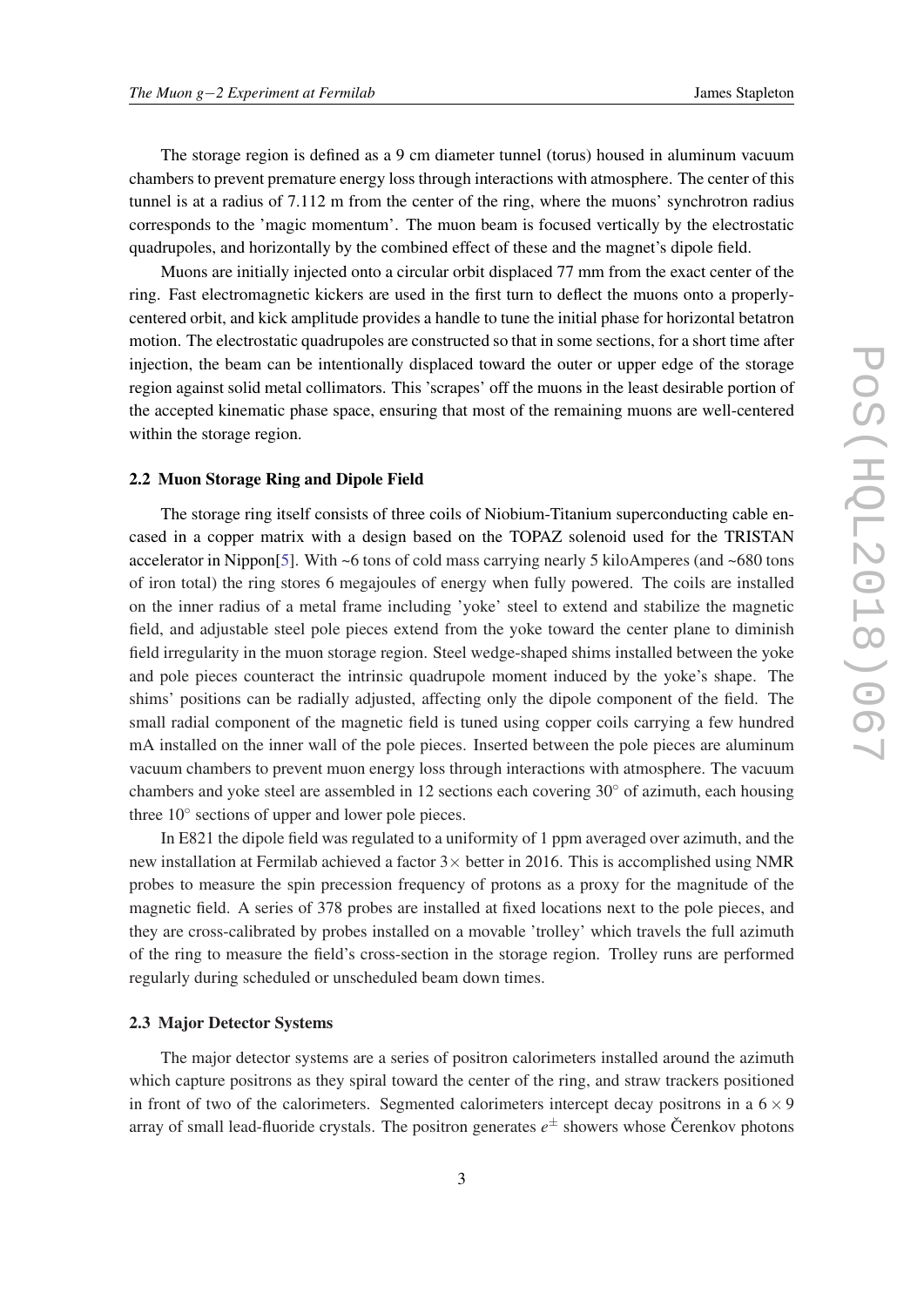The storage region is defined as a 9 cm diameter tunnel (torus) housed in aluminum vacuum chambers to prevent premature energy loss through interactions with atmosphere. The center of this tunnel is at a radius of 7.112 m from the center of the ring, where the muons' synchrotron radius corresponds to the 'magic momentum'. The muon beam is focused vertically by the electrostatic quadrupoles, and horizontally by the combined effect of these and the magnet's dipole field.

Muons are initially injected onto a circular orbit displaced 77 mm from the exact center of the ring. Fast electromagnetic kickers are used in the first turn to deflect the muons onto a properlycentered orbit, and kick amplitude provides a handle to tune the initial phase for horizontal betatron motion. The electrostatic quadrupoles are constructed so that in some sections, for a short time after injection, the beam can be intentionally displaced toward the outer or upper edge of the storage region against solid metal collimators. This 'scrapes' off the muons in the least desirable portion of the accepted kinematic phase space, ensuring that most of the remaining muons are well-centered within the storage region.

### 2.2 Muon Storage Ring and Dipole Field

The storage ring itself consists of three coils of Niobium-Titanium superconducting cable encased in a copper matrix with a design based on the TOPAZ solenoid used for the TRISTAN accelerator in Nippon[\[5](#page-6-0)]. With ~6 tons of cold mass carrying nearly 5 kiloAmperes (and ~680 tons of iron total) the ring stores 6 megajoules of energy when fully powered. The coils are installed on the inner radius of a metal frame including 'yoke' steel to extend and stabilize the magnetic field, and adjustable steel pole pieces extend from the yoke toward the center plane to diminish field irregularity in the muon storage region. Steel wedge-shaped shims installed between the yoke and pole pieces counteract the intrinsic quadrupole moment induced by the yoke's shape. The shims' positions can be radially adjusted, affecting only the dipole component of the field. The small radial component of the magnetic field is tuned using copper coils carrying a few hundred mA installed on the inner wall of the pole pieces. Inserted between the pole pieces are aluminum vacuum chambers to prevent muon energy loss through interactions with atmosphere. The vacuum chambers and yoke steel are assembled in 12 sections each covering  $30°$  of azimuth, each housing three 10° sections of upper and lower pole pieces.

In E821 the dipole field was regulated to a uniformity of 1 ppm averaged over azimuth, and the new installation at Fermilab achieved a factor  $3\times$  better in 2016. This is accomplished using NMR probes to measure the spin precession frequency of protons as a proxy for the magnitude of the magnetic field. A series of 378 probes are installed at fixed locations next to the pole pieces, and they are cross-calibrated by probes installed on a movable 'trolley' which travels the full azimuth of the ring to measure the field's cross-section in the storage region. Trolley runs are performed regularly during scheduled or unscheduled beam down times.

#### 2.3 Major Detector Systems

The major detector systems are a series of positron calorimeters installed around the azimuth which capture positrons as they spiral toward the center of the ring, and straw trackers positioned in front of two of the calorimeters. Segmented calorimeters intercept decay positrons in a  $6 \times 9$ array of small lead-fluoride crystals. The positron generates  $e^{\pm}$  showers whose Čerenkov photons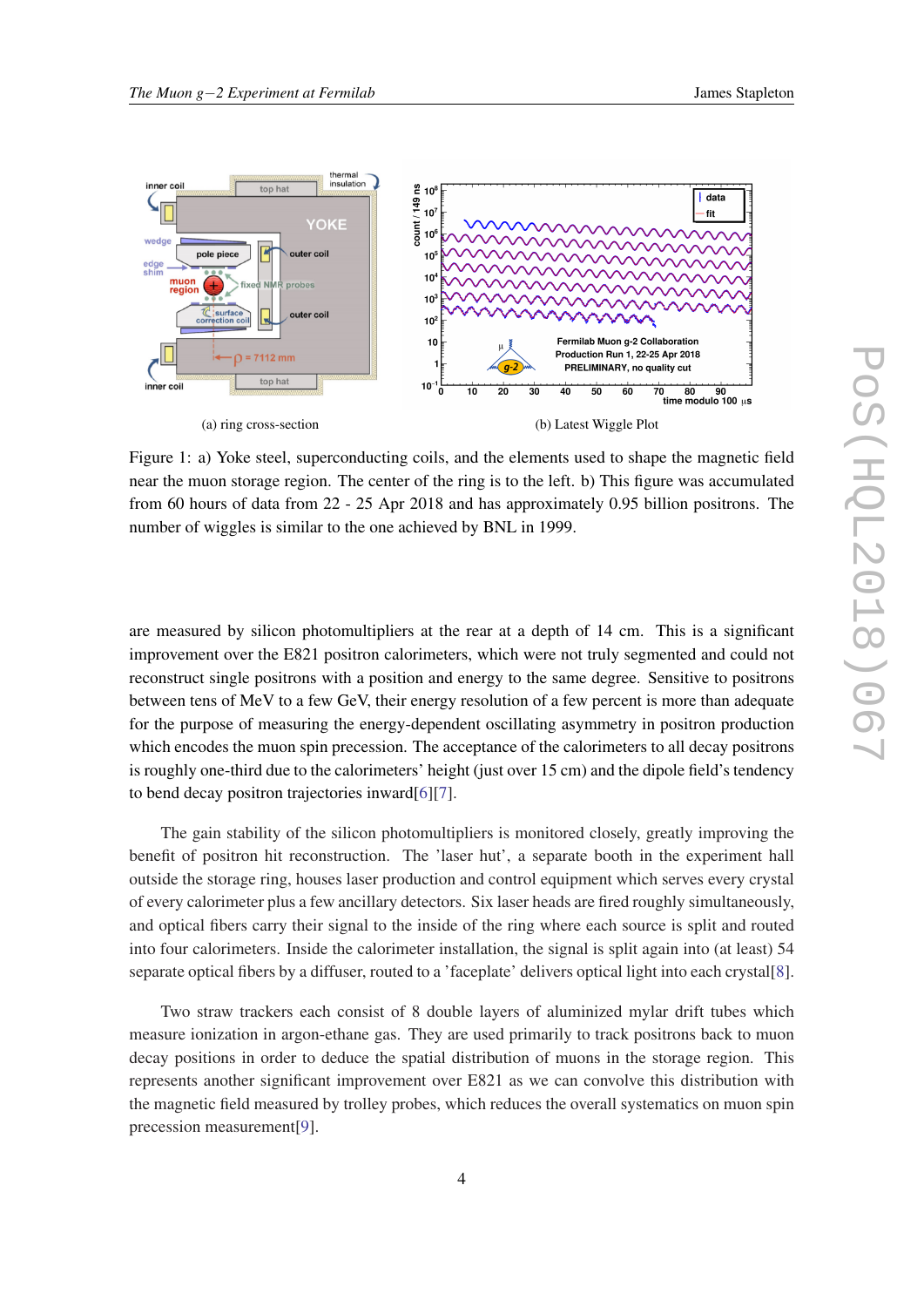<span id="page-4-0"></span>

Figure 1: a) Yoke steel, superconducting coils, and the elements used to shape the magnetic field near the muon storage region. The center of the ring is to the left. b) This figure was accumulated from 60 hours of data from 22 - 25 Apr 2018 and has approximately 0.95 billion positrons. The number of wiggles is similar to the one achieved by BNL in 1999.

are measured by silicon photomultipliers at the rear at a depth of 14 cm. This is a significant improvement over the E821 positron calorimeters, which were not truly segmented and could not reconstruct single positrons with a position and energy to the same degree. Sensitive to positrons between tens of MeV to a few GeV, their energy resolution of a few percent is more than adequate for the purpose of measuring the energy-dependent oscillating asymmetry in positron production which encodes the muon spin precession. The acceptance of the calorimeters to all decay positrons is roughly one-third due to the calorimeters' height (just over 15 cm) and the dipole field's tendency to bend decay positron trajectories inward[\[6\]](#page-6-0)[[7](#page-6-0)].

The gain stability of the silicon photomultipliers is monitored closely, greatly improving the benefit of positron hit reconstruction. The 'laser hut', a separate booth in the experiment hall outside the storage ring, houses laser production and control equipment which serves every crystal of every calorimeter plus a few ancillary detectors. Six laser heads are fired roughly simultaneously, and optical fibers carry their signal to the inside of the ring where each source is split and routed into four calorimeters. Inside the calorimeter installation, the signal is split again into (at least) 54 separate optical fibers by a diffuser, routed to a 'faceplate' delivers optical light into each crystal[\[8\]](#page-6-0).

Two straw trackers each consist of 8 double layers of aluminized mylar drift tubes which measure ionization in argon-ethane gas. They are used primarily to track positrons back to muon decay positions in order to deduce the spatial distribution of muons in the storage region. This represents another significant improvement over E821 as we can convolve this distribution with the magnetic field measured by trolley probes, which reduces the overall systematics on muon spin precession measurement[[9](#page-6-0)].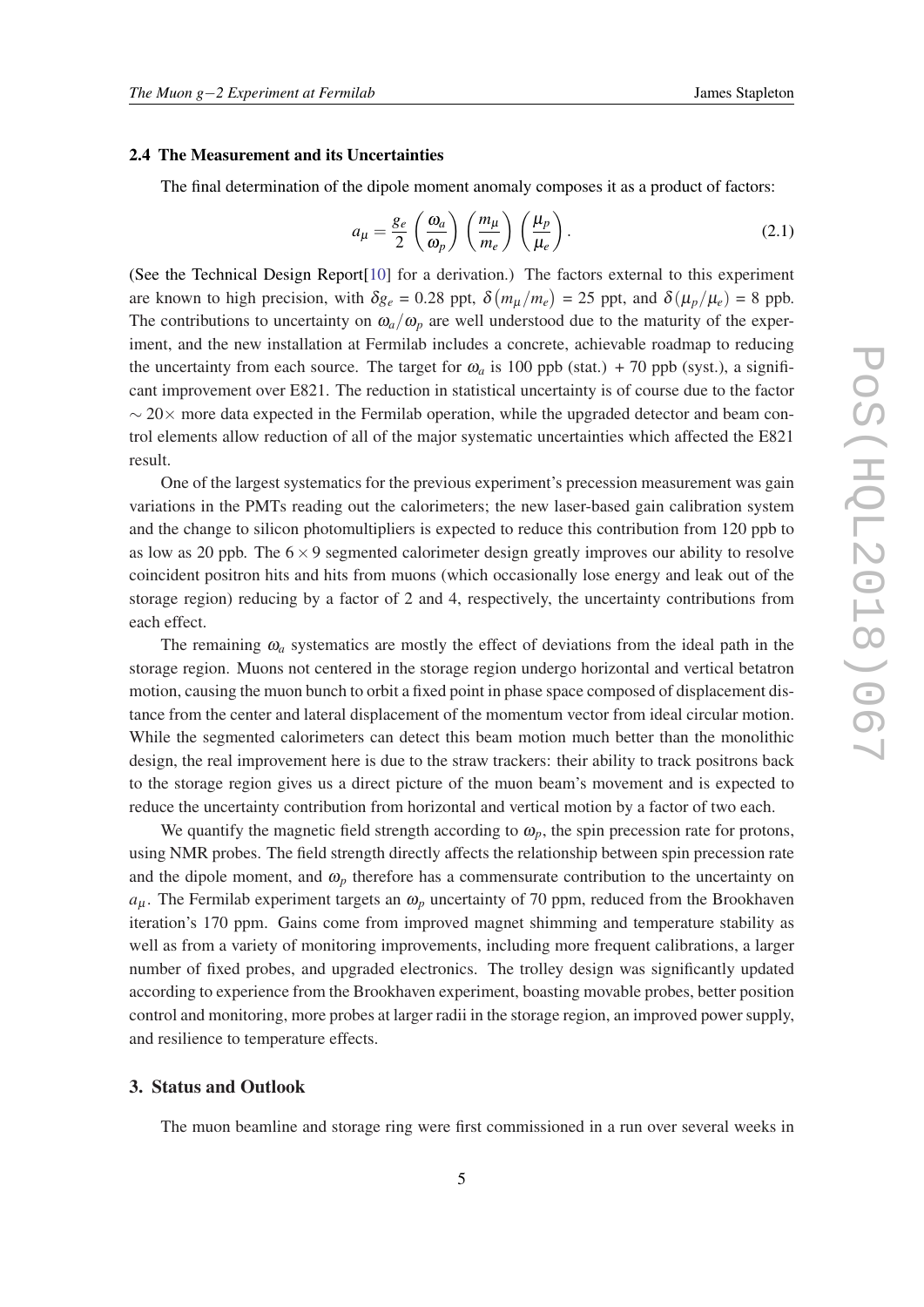### 2.4 The Measurement and its Uncertainties

The final determination of the dipole moment anomaly composes it as a product of factors:

$$
a_{\mu} = \frac{g_e}{2} \left( \frac{\omega_a}{\omega_p} \right) \left( \frac{m_{\mu}}{m_e} \right) \left( \frac{\mu_p}{\mu_e} \right). \tag{2.1}
$$

(See the Technical Design Report[[10\]](#page-6-0) for a derivation.) The factors external to this experiment are known to high precision, with  $\delta g_e = 0.28$  ppt,  $\delta (m_\mu/m_e) = 25$  ppt, and  $\delta (\mu_p/\mu_e) = 8$  ppb. The contributions to uncertainty on  $\omega_a/\omega_p$  are well understood due to the maturity of the experiment, and the new installation at Fermilab includes a concrete, achievable roadmap to reducing the uncertainty from each source. The target for  $\omega_a$  is 100 ppb (stat.) + 70 ppb (syst.), a significant improvement over E821. The reduction in statistical uncertainty is of course due to the factor  $\sim$  20 $\times$  more data expected in the Fermilab operation, while the upgraded detector and beam control elements allow reduction of all of the major systematic uncertainties which affected the E821 result.

One of the largest systematics for the previous experiment's precession measurement was gain variations in the PMTs reading out the calorimeters; the new laser-based gain calibration system and the change to silicon photomultipliers is expected to reduce this contribution from 120 ppb to as low as 20 ppb. The  $6 \times 9$  segmented calorimeter design greatly improves our ability to resolve coincident positron hits and hits from muons (which occasionally lose energy and leak out of the storage region) reducing by a factor of 2 and 4, respectively, the uncertainty contributions from each effect.

The remaining  $\omega_a$  systematics are mostly the effect of deviations from the ideal path in the storage region. Muons not centered in the storage region undergo horizontal and vertical betatron motion, causing the muon bunch to orbit a fixed point in phase space composed of displacement distance from the center and lateral displacement of the momentum vector from ideal circular motion. While the segmented calorimeters can detect this beam motion much better than the monolithic design, the real improvement here is due to the straw trackers: their ability to track positrons back to the storage region gives us a direct picture of the muon beam's movement and is expected to reduce the uncertainty contribution from horizontal and vertical motion by a factor of two each.

We quantify the magnetic field strength according to  $\omega_p$ , the spin precession rate for protons, using NMR probes. The field strength directly affects the relationship between spin precession rate and the dipole moment, and  $\omega_p$  therefore has a commensurate contribution to the uncertainty on  $a_{\mu}$ . The Fermilab experiment targets an  $\omega_p$  uncertainty of 70 ppm, reduced from the Brookhaven iteration's 170 ppm. Gains come from improved magnet shimming and temperature stability as well as from a variety of monitoring improvements, including more frequent calibrations, a larger number of fixed probes, and upgraded electronics. The trolley design was significantly updated according to experience from the Brookhaven experiment, boasting movable probes, better position control and monitoring, more probes at larger radii in the storage region, an improved power supply, and resilience to temperature effects.

# 3. Status and Outlook

The muon beamline and storage ring were first commissioned in a run over several weeks in